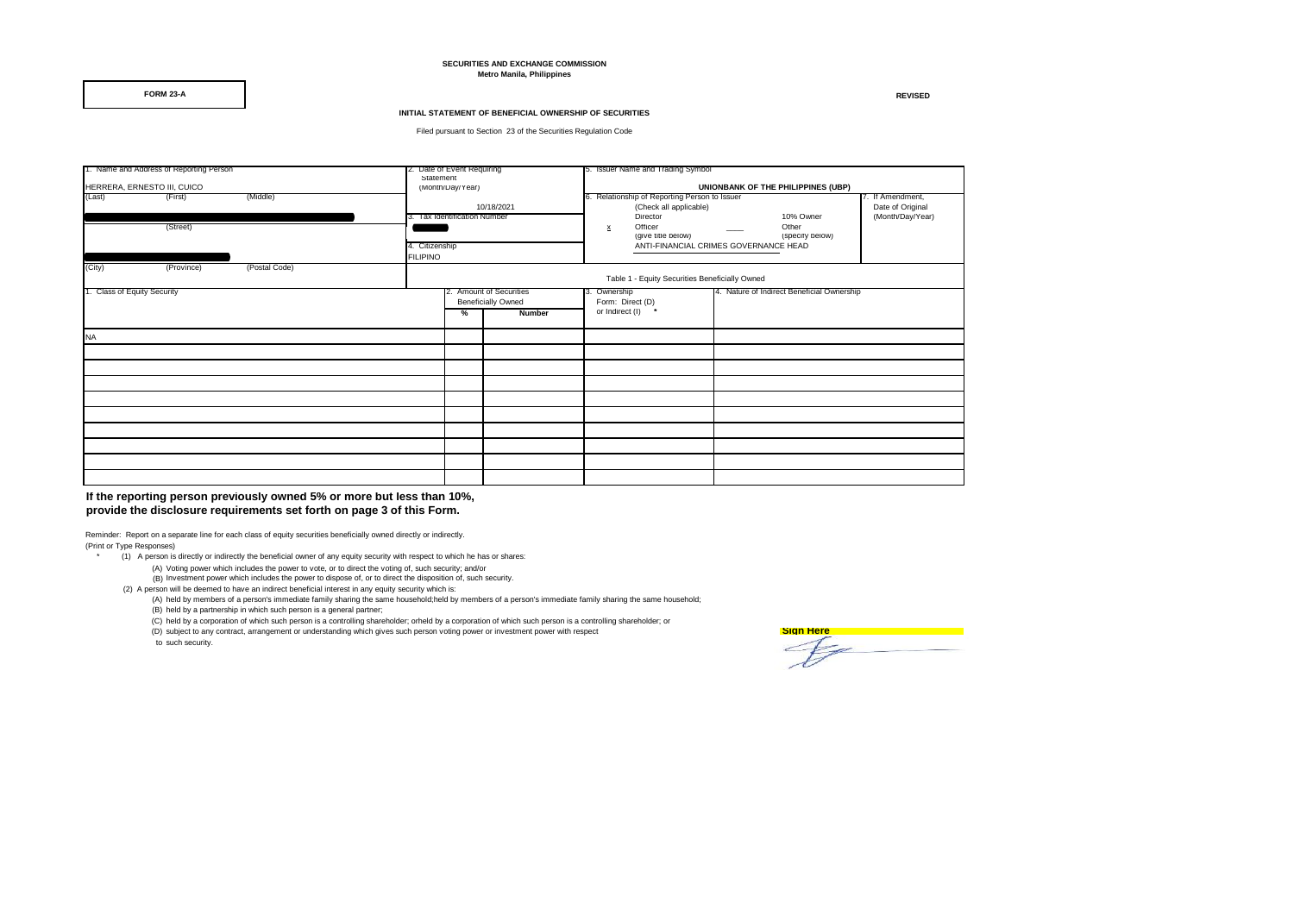## **SECURITIES AND EXCHANGE COMMISSION Metro Manila, Philippines**

**FORM 23-A REVISED**

## **INITIAL STATEMENT OF BENEFICIAL OWNERSHIP OF SECURITIES**

Filed pursuant to Section 23 of the Securities Regulation Code

| 1. Name and Address of Reporting Person |            |               |                                                | 2. Date of Event Requiring        |                         | 5. Issuer Name and Trading Symbol  |                                               |                                            |                  |                  |  |
|-----------------------------------------|------------|---------------|------------------------------------------------|-----------------------------------|-------------------------|------------------------------------|-----------------------------------------------|--------------------------------------------|------------------|------------------|--|
| HERRERA, ERNESTO III, CUICO             |            |               |                                                | Statement<br>(Month/Day/Year)     |                         | UNIONBANK OF THE PHILIPPINES (UBP) |                                               |                                            |                  |                  |  |
| (Last)<br>(First)<br>(Middle)           |            |               |                                                |                                   |                         |                                    | 6. Relationship of Reporting Person to Issuer |                                            |                  | '. If Amendment, |  |
|                                         |            |               |                                                | 10/18/2021                        |                         |                                    | (Check all applicable)                        | Date of Original                           |                  |                  |  |
|                                         |            |               | 3. Tax Identification Number                   |                                   |                         | Director                           |                                               | 10% Owner                                  | (Month/Day/Year) |                  |  |
|                                         | (Street)   |               |                                                |                                   |                         | $\mathbf{x}$                       | Officer                                       | $\hspace{0.05cm}$                          | Other            |                  |  |
|                                         |            |               |                                                |                                   |                         |                                    | (give title below)                            |                                            | (specify below)  |                  |  |
|                                         |            |               |                                                | 4. Citizenship<br><b>FILIPINO</b> |                         |                                    | ANTI-FINANCIAL CRIMES GOVERNANCE HEAD         |                                            |                  |                  |  |
| (City)                                  | (Province) | (Postal Code) |                                                |                                   |                         |                                    |                                               |                                            |                  |                  |  |
|                                         |            |               | Table 1 - Equity Securities Beneficially Owned |                                   |                         |                                    |                                               |                                            |                  |                  |  |
| 1. Class of Equity Security             |            |               |                                                |                                   | 2. Amount of Securities | 3. Ownership                       |                                               | 4. Nature of Indirect Beneficial Ownership |                  |                  |  |
|                                         |            |               |                                                | <b>Beneficially Owned</b>         |                         | Form: Direct (D)                   |                                               |                                            |                  |                  |  |
|                                         |            |               |                                                | %                                 | Number                  |                                    | or Indirect (I) *                             |                                            |                  |                  |  |
| <b>NA</b>                               |            |               |                                                |                                   |                         |                                    |                                               |                                            |                  |                  |  |
|                                         |            |               |                                                |                                   |                         |                                    |                                               |                                            |                  |                  |  |
|                                         |            |               |                                                |                                   |                         |                                    |                                               |                                            |                  |                  |  |
|                                         |            |               |                                                |                                   |                         |                                    |                                               |                                            |                  |                  |  |
|                                         |            |               |                                                |                                   |                         |                                    |                                               |                                            |                  |                  |  |
|                                         |            |               |                                                |                                   |                         |                                    |                                               |                                            |                  |                  |  |
|                                         |            |               |                                                |                                   |                         |                                    |                                               |                                            |                  |                  |  |
|                                         |            |               |                                                |                                   |                         |                                    |                                               |                                            |                  |                  |  |
|                                         |            |               |                                                |                                   |                         |                                    |                                               |                                            |                  |                  |  |
|                                         |            |               |                                                |                                   |                         |                                    |                                               |                                            |                  |                  |  |

## **If the reporting person previously owned 5% or more but less than 10%, provide the disclosure requirements set forth on page 3 of this Form.**

Reminder: Report on a separate line for each class of equity securities beneficially owned directly or indirectly. (Print or Type Responses)

- (1) A person is directly or indirectly the beneficial owner of any equity security with respect to which he has or shares: (A) Voting power which includes the power to vote, or to direct the voting of, such security; and/or
- (B) Investment power which includes the power to dispose of, or to direct the disposition of, such security. (2) A person will be deemed to have an indirect beneficial interest in any equity security which is:
- (A) held by members of a person's immediate family sharing the same household;held by members of a person's immediate family sharing the same household; (B) held by a partnership in which such person is a general partner; (C) held by a corporation of which such person is a controlling shareholder; orheld by a corporation of which such person is a controlling shareholder; or
	- (D) subject to any contract, arrangement or understanding which gives such person voting power or investment power with respect to such security.

to such security.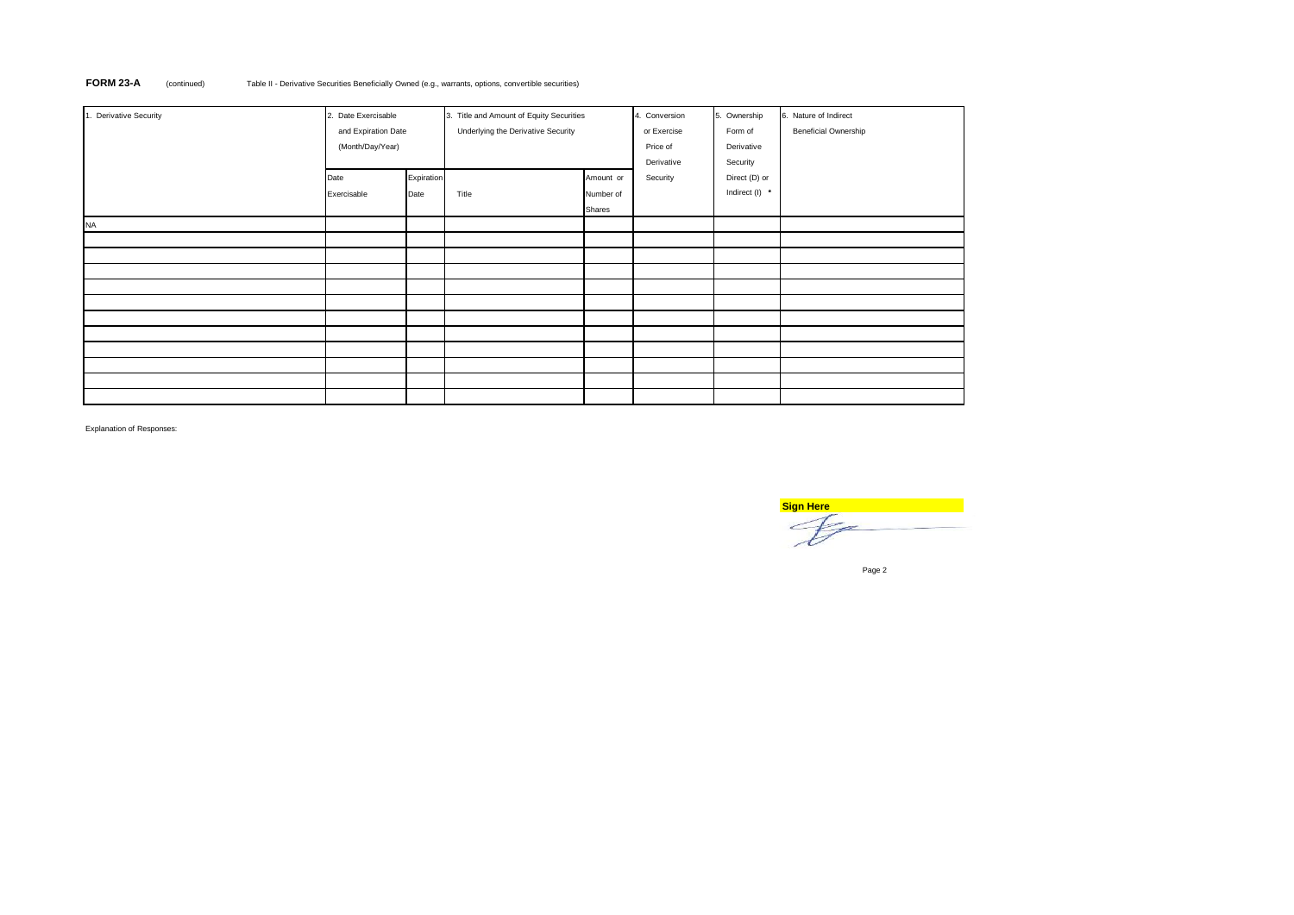## **FORM 23-A** (continued) Table II - Derivative Securities Beneficially Owned (e.g., warrants, options, convertible securities)

| . Derivative Security | 2. Date Exercisable |            | 3. Title and Amount of Equity Securities |           | 4. Conversion | 5. Ownership   | Nature of Indirect          |
|-----------------------|---------------------|------------|------------------------------------------|-----------|---------------|----------------|-----------------------------|
|                       | and Expiration Date |            | Underlying the Derivative Security       |           | or Exercise   | Form of        | <b>Beneficial Ownership</b> |
|                       | (Month/Day/Year)    |            |                                          | Price of  | Derivative    |                |                             |
|                       |                     |            |                                          |           | Derivative    | Security       |                             |
|                       | Date                | Expiration |                                          | Amount or | Security      | Direct (D) or  |                             |
|                       | Exercisable         | Date       | Title                                    | Number of |               | Indirect (I) * |                             |
|                       |                     |            |                                          | Shares    |               |                |                             |
| <b>NA</b>             |                     |            |                                          |           |               |                |                             |
|                       |                     |            |                                          |           |               |                |                             |
|                       |                     |            |                                          |           |               |                |                             |
|                       |                     |            |                                          |           |               |                |                             |
|                       |                     |            |                                          |           |               |                |                             |
|                       |                     |            |                                          |           |               |                |                             |
|                       |                     |            |                                          |           |               |                |                             |
|                       |                     |            |                                          |           |               |                |                             |
|                       |                     |            |                                          |           |               |                |                             |
|                       |                     |            |                                          |           |               |                |                             |
|                       |                     |            |                                          |           |               |                |                             |
|                       |                     |            |                                          |           |               |                |                             |

Explanation of Responses:

**Sign Here**<br> *Sign Here* 

Page 2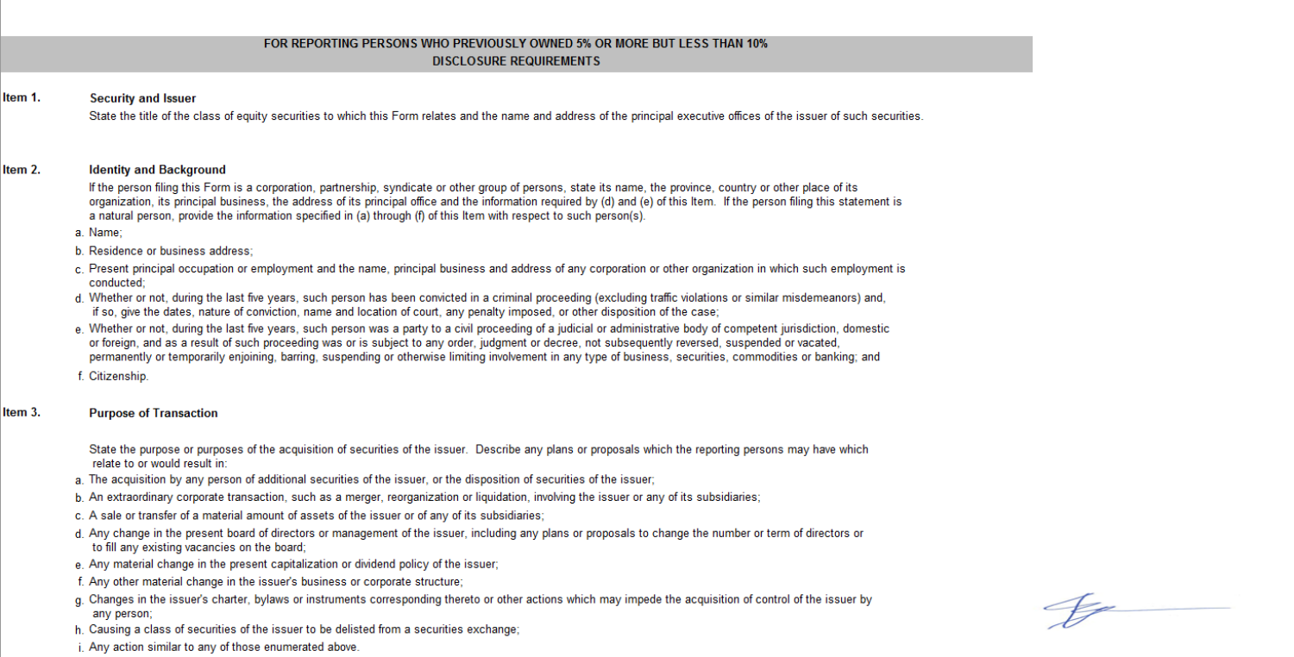# FOR REPORTING PERSONS WHO PREVIOUSLY OWNED 5% OR MORE BUT LESS THAN 10% **DISCLOSURE REQUIREMENTS**

#### **Security and Issuer** Item 1.

State the title of the class of equity securities to which this Form relates and the name and address of the principal executive offices of the issuer of such securities.

#### **Identity and Background** Item 2.

If the person filing this Form is a corporation, partnership, syndicate or other group of persons, state its name, the province, country or other place of its organization, its principal business, the address of its principal office and the information required by (d) and (e) of this Item. If the person filing this statement is a natural person, provide the information specified in (a) through (f) of this Item with respect to such person(s).

a. Name:

- b. Residence or business address:
- c. Present principal occupation or employment and the name, principal business and address of any corporation or other organization in which such employment is conducted:
- d. Whether or not, during the last five years, such person has been convicted in a criminal proceeding (excluding traffic violations or similar misdemeanors) and, if so, give the dates, nature of conviction, name and location of court, any penalty imposed, or other disposition of the case;
- e. Whether or not, during the last five years, such person was a party to a civil proceeding of a judicial or administrative body of competent jurisdiction, domestic or foreign, and as a result of such proceeding was or is subject to any order, judgment or decree, not subsequently reversed, suspended or vacated, permanently or temporarily enjoining, barring, suspending or otherwise limiting involvement in any type of business, securities, commodities or banking; and

f. Citizenship.

#### Item 3. **Purpose of Transaction**

State the purpose or purposes of the acquisition of securities of the issuer. Describe any plans or proposals which the reporting persons may have which relate to or would result in:

- a. The acquisition by any person of additional securities of the issuer, or the disposition of securities of the issuer;
- b. An extraordinary corporate transaction, such as a merger, reorganization or liquidation, involving the issuer or any of its subsidiaries:
- c. A sale or transfer of a material amount of assets of the issuer or of any of its subsidiaries:
- d. Any change in the present board of directors or management of the issuer, including any plans or proposals to change the number or term of directors or to fill any existing vacancies on the board:
- e. Any material change in the present capitalization or dividend policy of the issuer:
- f. Any other material change in the issuer's business or corporate structure:
- g. Changes in the issuer's charter, bylaws or instruments corresponding thereto or other actions which may impede the acquisition of control of the issuer by any person;
- h. Causing a class of securities of the issuer to be delisted from a securities exchange;
- j. Any action similar to any of those enumerated above.